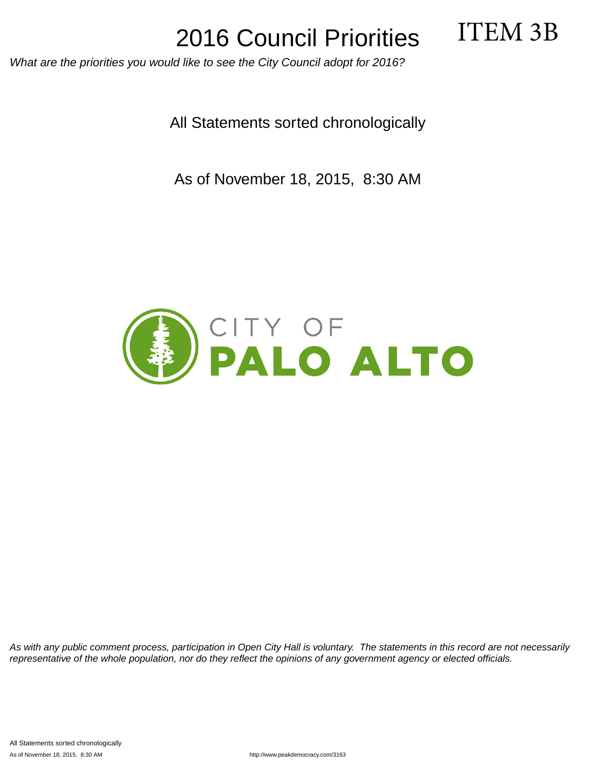ITEM 3B

What are the priorities you would like to see the City Council adopt for 2016?

All Statements sorted chronologically

As of November 18, 2015, 8:30 AM



As with any public comment process, participation in Open City Hall is voluntary. The statements in this record are not necessarily representative of the whole population, nor do they reflect the opinions of any government agency or elected officials.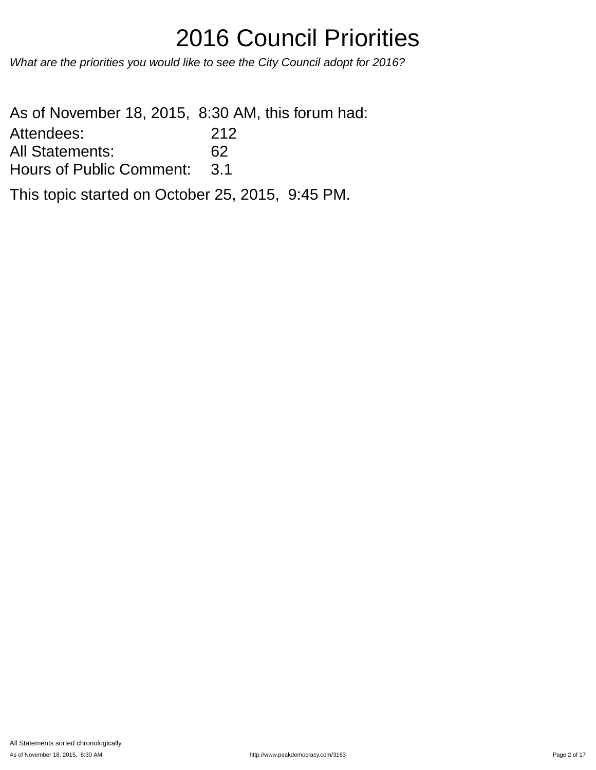What are the priorities you would like to see the City Council adopt for 2016?

As of November 18, 2015, 8:30 AM, this forum had: Attendees: 212

All Statements: 62

Hours of Public Comment: 3.1

This topic started on October 25, 2015, 9:45 PM.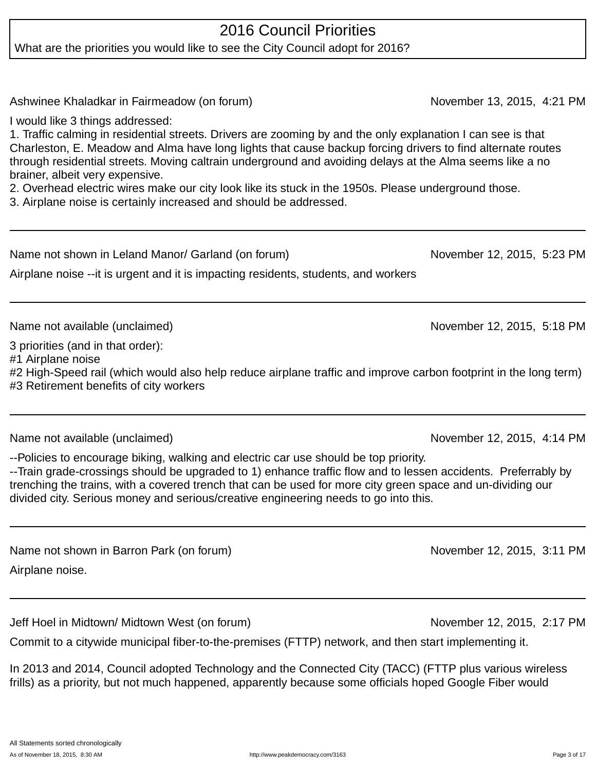What are the priorities you would like to see the City Council adopt for 2016?

Ashwinee Khaladkar in Fairmeadow (on forum) November 13, 2015, 4:21 PM

I would like 3 things addressed:

1. Traffic calming in residential streets. Drivers are zooming by and the only explanation I can see is that Charleston, E. Meadow and Alma have long lights that cause backup forcing drivers to find alternate routes through residential streets. Moving caltrain underground and avoiding delays at the Alma seems like a no brainer, albeit very expensive.

2. Overhead electric wires make our city look like its stuck in the 1950s. Please underground those.

3. Airplane noise is certainly increased and should be addressed.

| Name not shown in Leland Manor/ Garland (on forum)<br>Airplane noise -- it is urgent and it is impacting residents, students, and workers | November 12, 2015, 5:23 PM |
|-------------------------------------------------------------------------------------------------------------------------------------------|----------------------------|
|                                                                                                                                           |                            |
|                                                                                                                                           |                            |
| Name not available (unclaimed)                                                                                                            | November 12, 2015, 5:18 PM |

3 priorities (and in that order): #1 Airplane noise

#2 High-Speed rail (which would also help reduce airplane traffic and improve carbon footprint in the long term) #3 Retirement benefits of city workers

--Policies to encourage biking, walking and electric car use should be top priority.

--Train grade-crossings should be upgraded to 1) enhance traffic flow and to lessen accidents. Preferrably by trenching the trains, with a covered trench that can be used for more city green space and un-dividing our divided city. Serious money and serious/creative engineering needs to go into this.

Name not shown in Barron Park (on forum) November 12, 2015, 3:11 PM Airplane noise.

Jeff Hoel in Midtown/ Midtown West (on forum) November 12, 2015, 2:17 PM

Commit to a citywide municipal fiber-to-the-premises (FTTP) network, and then start implementing it.

In 2013 and 2014, Council adopted Technology and the Connected City (TACC) (FTTP plus various wireless frills) as a priority, but not much happened, apparently because some officials hoped Google Fiber would

November 12, 2015, 4:14 PM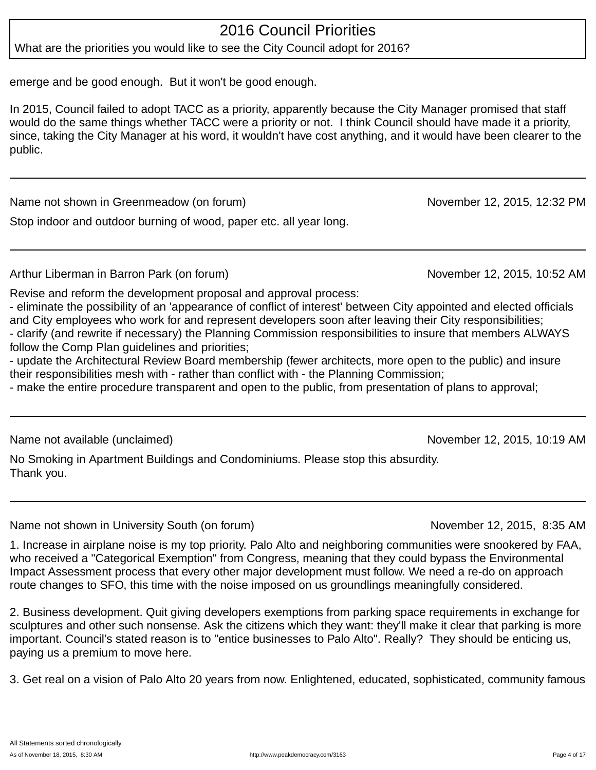What are the priorities you would like to see the City Council adopt for 2016?

emerge and be good enough. But it won't be good enough.

In 2015, Council failed to adopt TACC as a priority, apparently because the City Manager promised that staff would do the same things whether TACC were a priority or not. I think Council should have made it a priority, since, taking the City Manager at his word, it wouldn't have cost anything, and it would have been clearer to the public.

Name not shown in Greenmeadow (on forum) Name November 12, 2015, 12:32 PM

Stop indoor and outdoor burning of wood, paper etc. all year long.

Arthur Liberman in Barron Park (on forum) November 12, 2015, 10:52 AM

Revise and reform the development proposal and approval process: - eliminate the possibility of an 'appearance of conflict of interest' between City appointed and elected officials and City employees who work for and represent developers soon after leaving their City responsibilities; - clarify (and rewrite if necessary) the Planning Commission responsibilities to insure that members ALWAYS follow the Comp Plan guidelines and priorities;

- update the Architectural Review Board membership (fewer architects, more open to the public) and insure their responsibilities mesh with - rather than conflict with - the Planning Commission;

- make the entire procedure transparent and open to the public, from presentation of plans to approval;

Name not available (unclaimed) November 12, 2015, 10:19 AM

No Smoking in Apartment Buildings and Condominiums. Please stop this absurdity. Thank you.

Name not shown in University South (on forum) November 12, 2015, 8:35 AM

1. Increase in airplane noise is my top priority. Palo Alto and neighboring communities were snookered by FAA, who received a "Categorical Exemption" from Congress, meaning that they could bypass the Environmental Impact Assessment process that every other major development must follow. We need a re-do on approach route changes to SFO, this time with the noise imposed on us groundlings meaningfully considered.

2. Business development. Quit giving developers exemptions from parking space requirements in exchange for sculptures and other such nonsense. Ask the citizens which they want: they'll make it clear that parking is more important. Council's stated reason is to "entice businesses to Palo Alto". Really? They should be enticing us, paying us a premium to move here.

3. Get real on a vision of Palo Alto 20 years from now. Enlightened, educated, sophisticated, community famous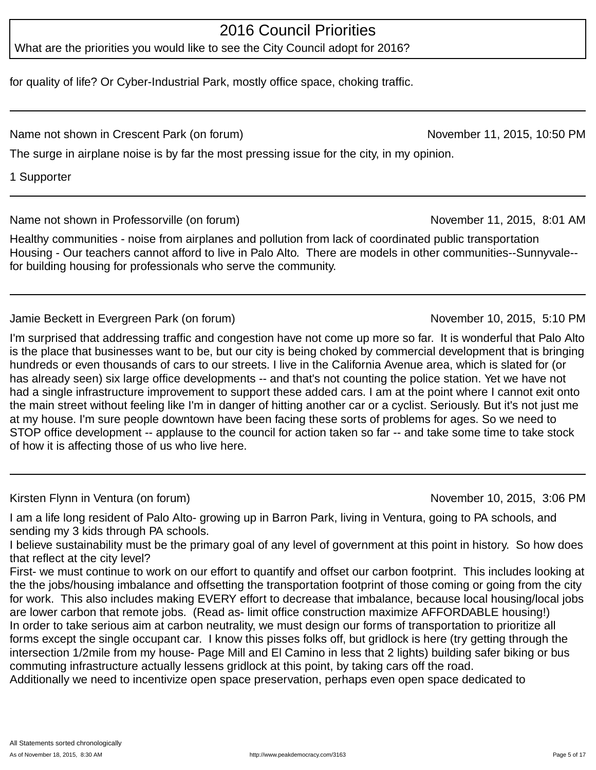What are the priorities you would like to see the City Council adopt for 2016?

for quality of life? Or Cyber-Industrial Park, mostly office space, choking traffic.

Name not shown in Crescent Park (on forum) November 11, 2015, 10:50 PM

The surge in airplane noise is by far the most pressing issue for the city, in my opinion.

1 Supporter

Name not shown in Professorville (on forum) November 11, 2015, 8:01 AM

Healthy communities - noise from airplanes and pollution from lack of coordinated public transportation Housing - Our teachers cannot afford to live in Palo Alto. There are models in other communities--Sunnyvale- for building housing for professionals who serve the community.

Jamie Beckett in Evergreen Park (on forum) November 10, 2015, 5:10 PM

I'm surprised that addressing traffic and congestion have not come up more so far. It is wonderful that Palo Alto is the place that businesses want to be, but our city is being choked by commercial development that is bringing hundreds or even thousands of cars to our streets. I live in the California Avenue area, which is slated for (or has already seen) six large office developments -- and that's not counting the police station. Yet we have not had a single infrastructure improvement to support these added cars. I am at the point where I cannot exit onto the main street without feeling like I'm in danger of hitting another car or a cyclist. Seriously. But it's not just me at my house. I'm sure people downtown have been facing these sorts of problems for ages. So we need to STOP office development -- applause to the council for action taken so far -- and take some time to take stock of how it is affecting those of us who live here.

Kirsten Flynn in Ventura (on forum) November 10, 2015, 3:06 PM

I am a life long resident of Palo Alto- growing up in Barron Park, living in Ventura, going to PA schools, and sending my 3 kids through PA schools.

I believe sustainability must be the primary goal of any level of government at this point in history. So how does that reflect at the city level?

First- we must continue to work on our effort to quantify and offset our carbon footprint. This includes looking at the the jobs/housing imbalance and offsetting the transportation footprint of those coming or going from the city for work. This also includes making EVERY effort to decrease that imbalance, because local housing/local jobs are lower carbon that remote jobs. (Read as- limit office construction maximize AFFORDABLE housing!) In order to take serious aim at carbon neutrality, we must design our forms of transportation to prioritize all forms except the single occupant car. I know this pisses folks off, but gridlock is here (try getting through the intersection 1/2mile from my house- Page Mill and El Camino in less that 2 lights) building safer biking or bus commuting infrastructure actually lessens gridlock at this point, by taking cars off the road.

Additionally we need to incentivize open space preservation, perhaps even open space dedicated to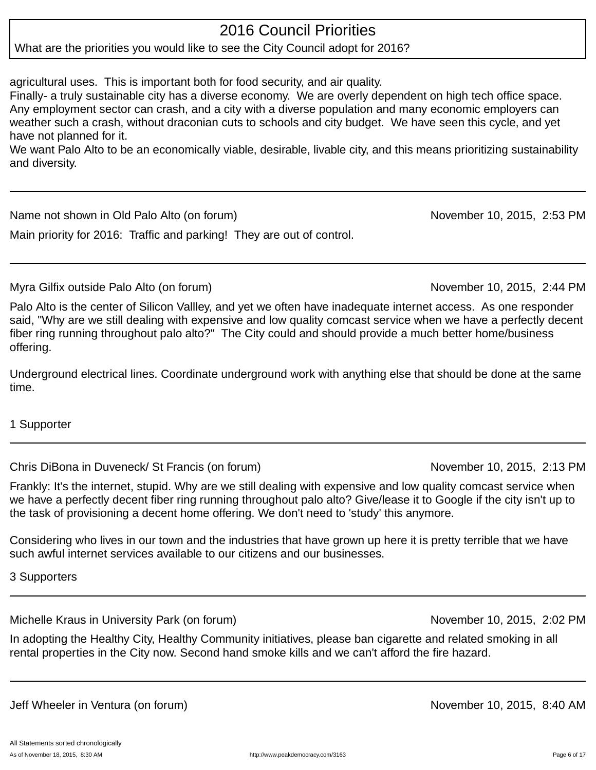What are the priorities you would like to see the City Council adopt for 2016?

agricultural uses. This is important both for food security, and air quality.

Finally- a truly sustainable city has a diverse economy. We are overly dependent on high tech office space. Any employment sector can crash, and a city with a diverse population and many economic employers can weather such a crash, without draconian cuts to schools and city budget. We have seen this cycle, and yet have not planned for it.

We want Palo Alto to be an economically viable, desirable, livable city, and this means prioritizing sustainability and diversity.

Name not shown in Old Palo Alto (on forum) November 10, 2015, 2:53 PM

Main priority for 2016: Traffic and parking! They are out of control.

Myra Gilfix outside Palo Alto (on forum) November 10, 2015, 2:44 PM

Palo Alto is the center of Silicon Vallley, and yet we often have inadequate internet access. As one responder said, "Why are we still dealing with expensive and low quality comcast service when we have a perfectly decent fiber ring running throughout palo alto?" The City could and should provide a much better home/business offering.

Underground electrical lines. Coordinate underground work with anything else that should be done at the same time.

1 Supporter

Chris DiBona in Duveneck/ St Francis (on forum) November 10, 2015, 2:13 PM

Frankly: It's the internet, stupid. Why are we still dealing with expensive and low quality comcast service when we have a perfectly decent fiber ring running throughout palo alto? Give/lease it to Google if the city isn't up to the task of provisioning a decent home offering. We don't need to 'study' this anymore.

Considering who lives in our town and the industries that have grown up here it is pretty terrible that we have such awful internet services available to our citizens and our businesses.

3 Supporters

Michelle Kraus in University Park (on forum) November 10, 2015, 2:02 PM

In adopting the Healthy City, Healthy Community initiatives, please ban cigarette and related smoking in all rental properties in the City now. Second hand smoke kills and we can't afford the fire hazard.

Jeff Wheeler in Ventura (on forum) Solution Controller Controller November 10, 2015, 8:40 AM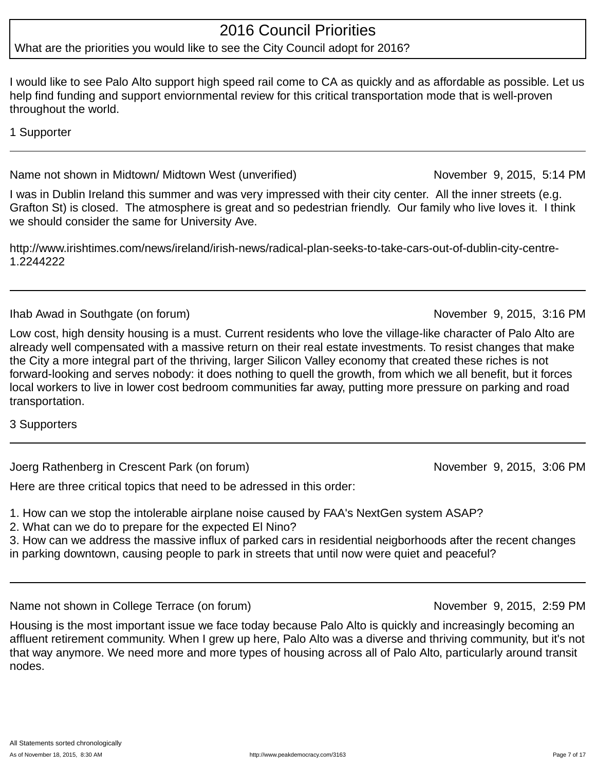What are the priorities you would like to see the City Council adopt for 2016?

I would like to see Palo Alto support high speed rail come to CA as quickly and as affordable as possible. Let us help find funding and support enviornmental review for this critical transportation mode that is well-proven throughout the world.

1 Supporter

Name not shown in Midtown/ Midtown West (unverified) November 9, 2015, 5:14 PM

I was in Dublin Ireland this summer and was very impressed with their city center. All the inner streets (e.g. Grafton St) is closed. The atmosphere is great and so pedestrian friendly. Our family who live loves it. I think we should consider the same for University Ave.

http://www.irishtimes.com/news/ireland/irish-news/radical-plan-seeks-to-take-cars-out-of-dublin-city-centre-1.2244222

Ihab Awad in Southgate (on forum) November 9, 2015, 3:16 PM

Low cost, high density housing is a must. Current residents who love the village-like character of Palo Alto are already well compensated with a massive return on their real estate investments. To resist changes that make the City a more integral part of the thriving, larger Silicon Valley economy that created these riches is not forward-looking and serves nobody: it does nothing to quell the growth, from which we all benefit, but it forces local workers to live in lower cost bedroom communities far away, putting more pressure on parking and road transportation.

3 Supporters

Joerg Rathenberg in Crescent Park (on forum) November 9, 2015, 3:06 PM

Here are three critical topics that need to be adressed in this order:

1. How can we stop the intolerable airplane noise caused by FAA's NextGen system ASAP?

2. What can we do to prepare for the expected El Nino?

3. How can we address the massive influx of parked cars in residential neigborhoods after the recent changes in parking downtown, causing people to park in streets that until now were quiet and peaceful?

Name not shown in College Terrace (on forum) Name November 9, 2015, 2:59 PM

Housing is the most important issue we face today because Palo Alto is quickly and increasingly becoming an affluent retirement community. When I grew up here, Palo Alto was a diverse and thriving community, but it's not that way anymore. We need more and more types of housing across all of Palo Alto, particularly around transit nodes.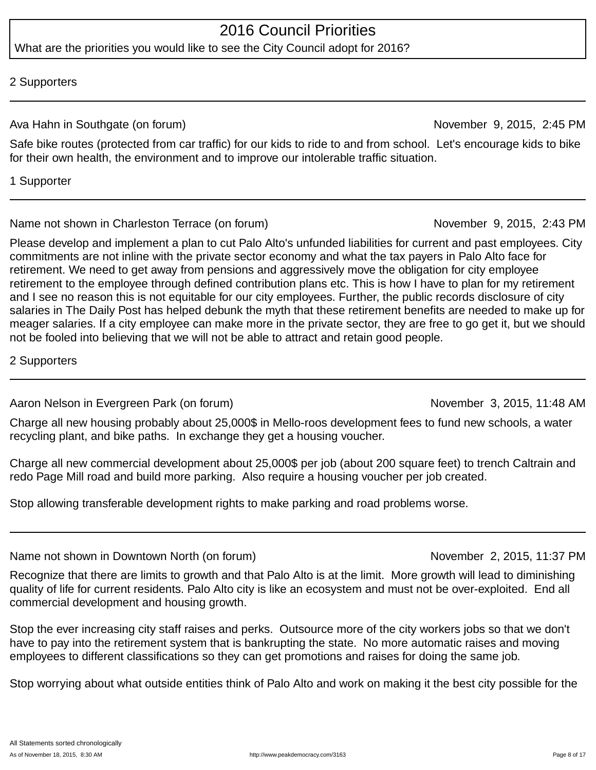What are the priorities you would like to see the City Council adopt for 2016?

#### 2 Supporters

Ava Hahn in Southgate (on forum) November 9, 2015, 2:45 PM

Safe bike routes (protected from car traffic) for our kids to ride to and from school. Let's encourage kids to bike for their own health, the environment and to improve our intolerable traffic situation.

1 Supporter

#### Name not shown in Charleston Terrace (on forum) November 9, 2015, 2:43 PM

Please develop and implement a plan to cut Palo Alto's unfunded liabilities for current and past employees. City commitments are not inline with the private sector economy and what the tax payers in Palo Alto face for retirement. We need to get away from pensions and aggressively move the obligation for city employee retirement to the employee through defined contribution plans etc. This is how I have to plan for my retirement and I see no reason this is not equitable for our city employees. Further, the public records disclosure of city salaries in The Daily Post has helped debunk the myth that these retirement benefits are needed to make up for meager salaries. If a city employee can make more in the private sector, they are free to go get it, but we should not be fooled into believing that we will not be able to attract and retain good people.

2 Supporters

Aaron Nelson in Evergreen Park (on forum) November 3, 2015, 11:48 AM

Charge all new housing probably about 25,000\$ in Mello-roos development fees to fund new schools, a water recycling plant, and bike paths. In exchange they get a housing voucher.

Charge all new commercial development about 25,000\$ per job (about 200 square feet) to trench Caltrain and redo Page Mill road and build more parking. Also require a housing voucher per job created.

Stop allowing transferable development rights to make parking and road problems worse.

Name not shown in Downtown North (on forum) November 2, 2015, 11:37 PM

Recognize that there are limits to growth and that Palo Alto is at the limit. More growth will lead to diminishing quality of life for current residents. Palo Alto city is like an ecosystem and must not be over-exploited. End all commercial development and housing growth.

Stop the ever increasing city staff raises and perks. Outsource more of the city workers jobs so that we don't have to pay into the retirement system that is bankrupting the state. No more automatic raises and moving employees to different classifications so they can get promotions and raises for doing the same job.

Stop worrying about what outside entities think of Palo Alto and work on making it the best city possible for the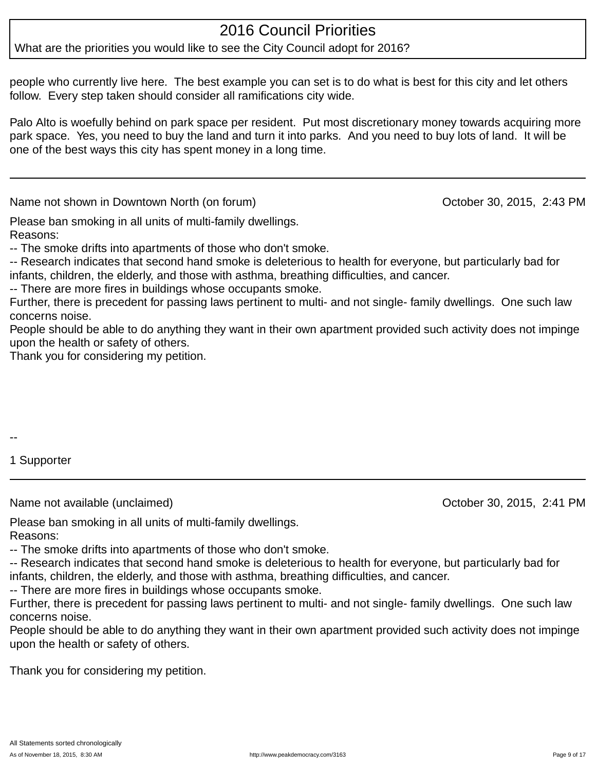#### What are the priorities you would like to see the City Council adopt for 2016?

people who currently live here. The best example you can set is to do what is best for this city and let others follow. Every step taken should consider all ramifications city wide.

Palo Alto is woefully behind on park space per resident. Put most discretionary money towards acquiring more park space. Yes, you need to buy the land and turn it into parks. And you need to buy lots of land. It will be one of the best ways this city has spent money in a long time.

Name not shown in Downtown North (on forum) October 30, 2015, 2:43 PM

Please ban smoking in all units of multi-family dwellings. Reasons:

-- The smoke drifts into apartments of those who don't smoke.

-- Research indicates that second hand smoke is deleterious to health for everyone, but particularly bad for infants, children, the elderly, and those with asthma, breathing difficulties, and cancer.

-- There are more fires in buildings whose occupants smoke.

Further, there is precedent for passing laws pertinent to multi- and not single- family dwellings. One such law concerns noise.

People should be able to do anything they want in their own apartment provided such activity does not impinge upon the health or safety of others.

Thank you for considering my petition.

--

1 Supporter

Name not available (unclaimed) Name 10 and 2:41 PM

Please ban smoking in all units of multi-family dwellings. Reasons:

-- The smoke drifts into apartments of those who don't smoke.

-- Research indicates that second hand smoke is deleterious to health for everyone, but particularly bad for infants, children, the elderly, and those with asthma, breathing difficulties, and cancer.

-- There are more fires in buildings whose occupants smoke.

Further, there is precedent for passing laws pertinent to multi- and not single- family dwellings. One such law concerns noise.

People should be able to do anything they want in their own apartment provided such activity does not impinge upon the health or safety of others.

Thank you for considering my petition.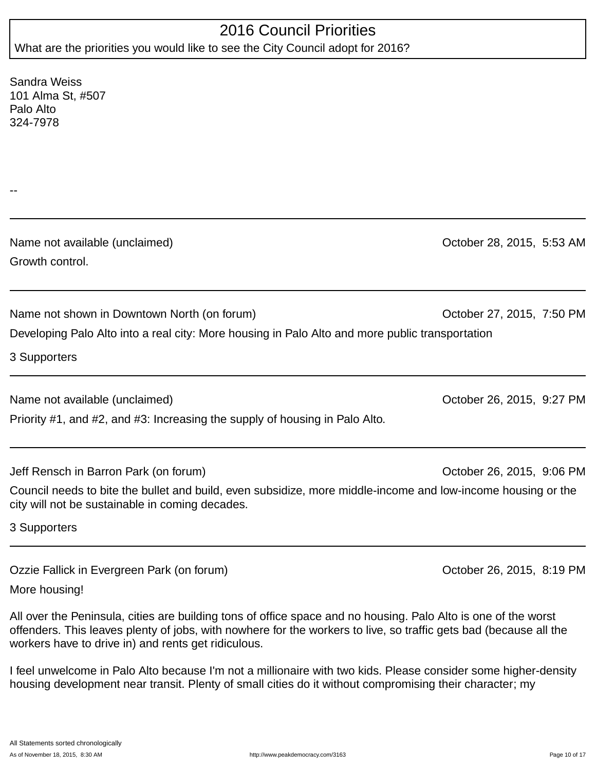What are the priorities you would like to see the City Council adopt for 2016?

Sandra Weiss 101 Alma St, #507 Palo Alto 324-7978

--

Name not available (unclaimed) Name not available (unclaimed) Compared Compared Compared Compared Compared Compared Compared Compared Compared Compared Compared Compared Compared Compared Compared Compared Compared Compare Growth control.

Name not shown in Downtown North (on forum) Name 10 Colober 27, 2015, 7:50 PM

Developing Palo Alto into a real city: More housing in Palo Alto and more public transportation

3 Supporters

Name not available (unclaimed) Name not available (unclaimed) Costober 26, 2015, 9:27 PM

Priority #1, and #2, and #3: Increasing the supply of housing in Palo Alto.

Jeff Rensch in Barron Park (on forum) Solid Communication Corresponding to the Corresponding October 26, 2015, 9:06 PM

Council needs to bite the bullet and build, even subsidize, more middle-income and low-income housing or the city will not be sustainable in coming decades.

3 Supporters

Ozzie Fallick in Evergreen Park (on forum)  $O$  and the contract of the contract of the Corollation October 26, 2015, 8:19 PM

More housing!

All over the Peninsula, cities are building tons of office space and no housing. Palo Alto is one of the worst offenders. This leaves plenty of jobs, with nowhere for the workers to live, so traffic gets bad (because all the workers have to drive in) and rents get ridiculous.

I feel unwelcome in Palo Alto because I'm not a millionaire with two kids. Please consider some higher-density housing development near transit. Plenty of small cities do it without compromising their character; my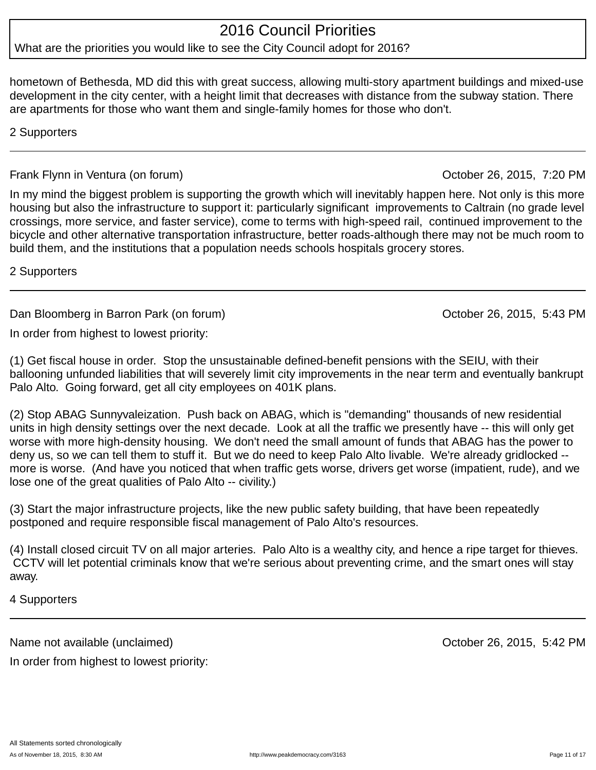#### What are the priorities you would like to see the City Council adopt for 2016?

hometown of Bethesda, MD did this with great success, allowing multi-story apartment buildings and mixed-use development in the city center, with a height limit that decreases with distance from the subway station. There are apartments for those who want them and single-family homes for those who don't.

2 Supporters

Frank Flynn in Ventura (on forum) and the control of the control of the Coronacter Control of Coronacter Control of Coronacter Coronacter Coronacter Coronacter Coronacter Coronacter Coronacter Coronacter Coronacter Coronac

In my mind the biggest problem is supporting the growth which will inevitably happen here. Not only is this more housing but also the infrastructure to support it: particularly significant improvements to Caltrain (no grade level crossings, more service, and faster service), come to terms with high-speed rail, continued improvement to the bicycle and other alternative transportation infrastructure, better roads-although there may not be much room to build them, and the institutions that a population needs schools hospitals grocery stores.

2 Supporters

Dan Bloomberg in Barron Park (on forum) Carl Controller Controller Controller Controller Controller Controller

In order from highest to lowest priority:

(1) Get fiscal house in order. Stop the unsustainable defined-benefit pensions with the SEIU, with their ballooning unfunded liabilities that will severely limit city improvements in the near term and eventually bankrupt Palo Alto. Going forward, get all city employees on 401K plans.

(2) Stop ABAG Sunnyvaleization. Push back on ABAG, which is "demanding" thousands of new residential units in high density settings over the next decade. Look at all the traffic we presently have -- this will only get worse with more high-density housing. We don't need the small amount of funds that ABAG has the power to deny us, so we can tell them to stuff it. But we do need to keep Palo Alto livable. We're already gridlocked - more is worse. (And have you noticed that when traffic gets worse, drivers get worse (impatient, rude), and we lose one of the great qualities of Palo Alto -- civility.)

(3) Start the major infrastructure projects, like the new public safety building, that have been repeatedly postponed and require responsible fiscal management of Palo Alto's resources.

(4) Install closed circuit TV on all major arteries. Palo Alto is a wealthy city, and hence a ripe target for thieves. CCTV will let potential criminals know that we're serious about preventing crime, and the smart ones will stay away.

4 Supporters

Name not available (unclaimed) Name 10 and 2015, 5:42 PM

In order from highest to lowest priority: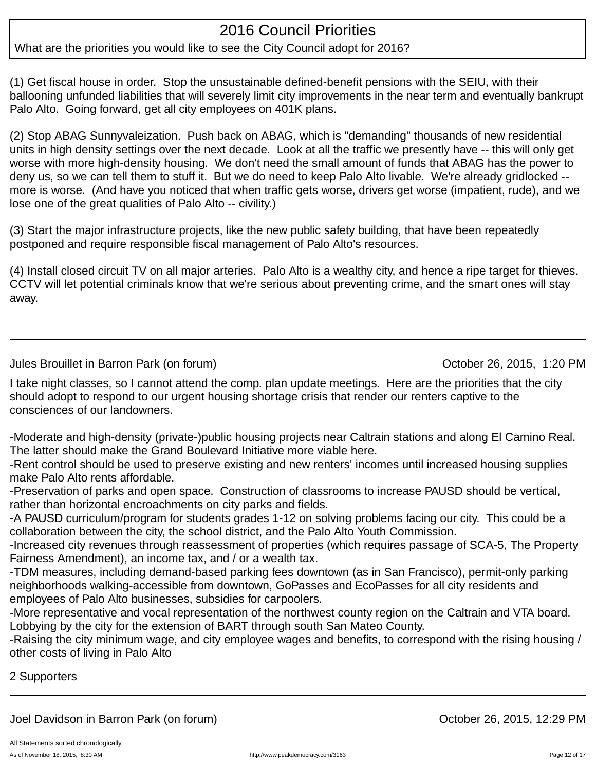#### What are the priorities you would like to see the City Council adopt for 2016?

(1) Get fiscal house in order. Stop the unsustainable defined-benefit pensions with the SEIU, with their ballooning unfunded liabilities that will severely limit city improvements in the near term and eventually bankrupt Palo Alto. Going forward, get all city employees on 401K plans.

(2) Stop ABAG Sunnyvaleization. Push back on ABAG, which is "demanding" thousands of new residential units in high density settings over the next decade. Look at all the traffic we presently have -- this will only get worse with more high-density housing. We don't need the small amount of funds that ABAG has the power to deny us, so we can tell them to stuff it. But we do need to keep Palo Alto livable. We're already gridlocked - more is worse. (And have you noticed that when traffic gets worse, drivers get worse (impatient, rude), and we lose one of the great qualities of Palo Alto -- civility.)

(3) Start the major infrastructure projects, like the new public safety building, that have been repeatedly postponed and require responsible fiscal management of Palo Alto's resources.

(4) Install closed circuit TV on all major arteries. Palo Alto is a wealthy city, and hence a ripe target for thieves. CCTV will let potential criminals know that we're serious about preventing crime, and the smart ones will stay away.

Jules Brouillet in Barron Park (on forum) Subsetting the Corology of Corology Cotober 26, 2015, 1:20 PM

I take night classes, so I cannot attend the comp. plan update meetings. Here are the priorities that the city should adopt to respond to our urgent housing shortage crisis that render our renters captive to the consciences of our landowners.

-Moderate and high-density (private-)public housing projects near Caltrain stations and along El Camino Real. The latter should make the Grand Boulevard Initiative more viable here.

-Rent control should be used to preserve existing and new renters' incomes until increased housing supplies make Palo Alto rents affordable.

-Preservation of parks and open space. Construction of classrooms to increase PAUSD should be vertical, rather than horizontal encroachments on city parks and fields.

-A PAUSD curriculum/program for students grades 1-12 on solving problems facing our city. This could be a collaboration between the city, the school district, and the Palo Alto Youth Commission.

-Increased city revenues through reassessment of properties (which requires passage of SCA-5, The Property Fairness Amendment), an income tax, and / or a wealth tax.

-TDM measures, including demand-based parking fees downtown (as in San Francisco), permit-only parking neighborhoods walking-accessible from downtown, GoPasses and EcoPasses for all city residents and employees of Palo Alto businesses, subsidies for carpoolers.

-More representative and vocal representation of the northwest county region on the Caltrain and VTA board. Lobbying by the city for the extension of BART through south San Mateo County.

-Raising the city minimum wage, and city employee wages and benefits, to correspond with the rising housing / other costs of living in Palo Alto

#### 2 Supporters

Joel Davidson in Barron Park (on forum) Notel Assembly Corresponding the Corresponding Corresponding to the October 26, 2015, 12:29 PM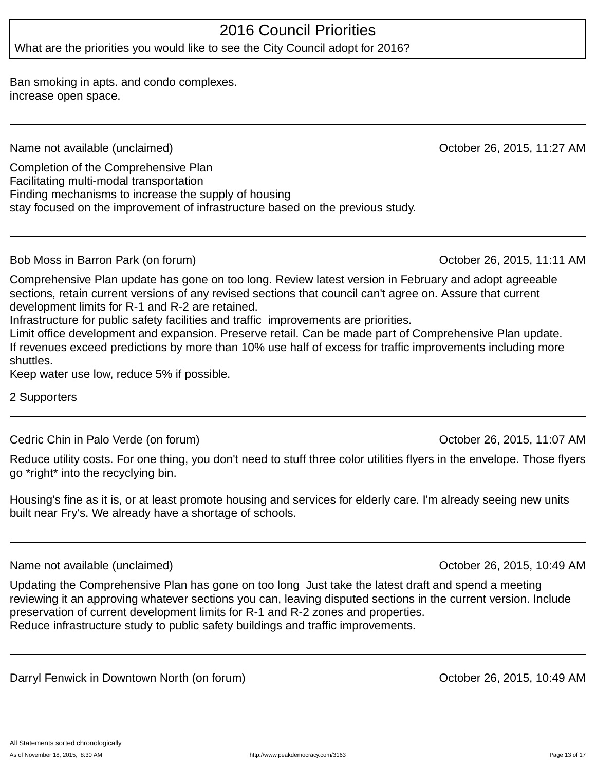What are the priorities you would like to see the City Council adopt for 2016?

Ban smoking in apts. and condo complexes. increase open space.

Name not available (unclaimed) Name not available (unclaimed) Costoler 26, 2015, 11:27 AM

Completion of the Comprehensive Plan Facilitating multi-modal transportation Finding mechanisms to increase the supply of housing stay focused on the improvement of infrastructure based on the previous study.

Bob Moss in Barron Park (on forum) New York 1980 States of the Corolland Corollator Corollator Corollator Corollary Corollary Corollary Corollary Corollary Corollary Corollary Corollary Corollary Corollary Corollary Coroll

Comprehensive Plan update has gone on too long. Review latest version in February and adopt agreeable sections, retain current versions of any revised sections that council can't agree on. Assure that current development limits for R-1 and R-2 are retained.

Infrastructure for public safety facilities and traffic improvements are priorities.

Limit office development and expansion. Preserve retail. Can be made part of Comprehensive Plan update. If revenues exceed predictions by more than 10% use half of excess for traffic improvements including more shuttles.

Keep water use low, reduce 5% if possible.

2 Supporters

Cedric Chin in Palo Verde (on forum) Cedric Chin in Palo Verde (on forum) Cedric Chin in Palo Verde (on forum)

Reduce utility costs. For one thing, you don't need to stuff three color utilities flyers in the envelope. Those flyers go \*right\* into the recyclying bin.

Housing's fine as it is, or at least promote housing and services for elderly care. I'm already seeing new units built near Fry's. We already have a shortage of schools.

#### Name not available (unclaimed) Name not available (unclaimed) Compared American Compared American Compared American Compared American Compared American Compared American Compared American Compared American Compared America

Updating the Comprehensive Plan has gone on too long Just take the latest draft and spend a meeting reviewing it an approving whatever sections you can, leaving disputed sections in the current version. Include preservation of current development limits for R-1 and R-2 zones and properties. Reduce infrastructure study to public safety buildings and traffic improvements.

Darryl Fenwick in Downtown North (on forum) Darryl Physics Common Cotober 26, 2015, 10:49 AM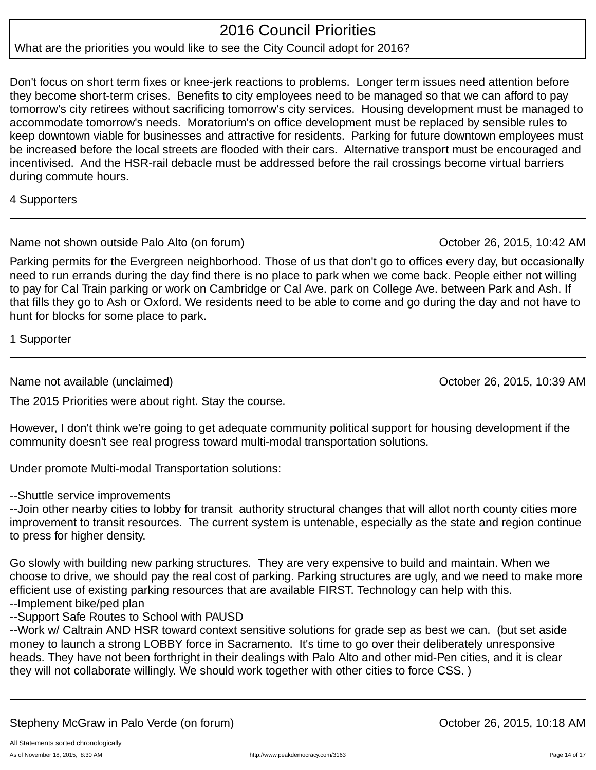### What are the priorities you would like to see the City Council adopt for 2016?

Don't focus on short term fixes or knee-jerk reactions to problems. Longer term issues need attention before they become short-term crises. Benefits to city employees need to be managed so that we can afford to pay tomorrow's city retirees without sacrificing tomorrow's city services. Housing development must be managed to accommodate tomorrow's needs. Moratorium's on office development must be replaced by sensible rules to keep downtown viable for businesses and attractive for residents. Parking for future downtown employees must be increased before the local streets are flooded with their cars. Alternative transport must be encouraged and incentivised. And the HSR-rail debacle must be addressed before the rail crossings become virtual barriers during commute hours.

4 Supporters

#### Name not shown outside Palo Alto (on forum) Name 10 Colober 26, 2015, 10:42 AM

Parking permits for the Evergreen neighborhood. Those of us that don't go to offices every day, but occasionally need to run errands during the day find there is no place to park when we come back. People either not willing to pay for Cal Train parking or work on Cambridge or Cal Ave. park on College Ave. between Park and Ash. If that fills they go to Ash or Oxford. We residents need to be able to come and go during the day and not have to hunt for blocks for some place to park.

1 Supporter

Name not available (unclaimed) Name not available (unclaimed) And the Control of Communication of Corollation C

The 2015 Priorities were about right. Stay the course.

However, I don't think we're going to get adequate community political support for housing development if the community doesn't see real progress toward multi-modal transportation solutions.

Under promote Multi-modal Transportation solutions:

--Shuttle service improvements

--Join other nearby cities to lobby for transit authority structural changes that will allot north county cities more improvement to transit resources. The current system is untenable, especially as the state and region continue to press for higher density.

Go slowly with building new parking structures. They are very expensive to build and maintain. When we choose to drive, we should pay the real cost of parking. Parking structures are ugly, and we need to make more efficient use of existing parking resources that are available FIRST. Technology can help with this. --Implement bike/ped plan

--Support Safe Routes to School with PAUSD

--Work w/ Caltrain AND HSR toward context sensitive solutions for grade sep as best we can. (but set aside money to launch a strong LOBBY force in Sacramento. It's time to go over their deliberately unresponsive heads. They have not been forthright in their dealings with Palo Alto and other mid-Pen cities, and it is clear they will not collaborate willingly. We should work together with other cities to force CSS. )

#### Stepheny McGraw in Palo Verde (on forum) New York 1988 Communication Correspondent Communication of the Stephen Correspondent Correspondent Correspondent Correspondent Correspondent Correspondent Correspondent Corresponden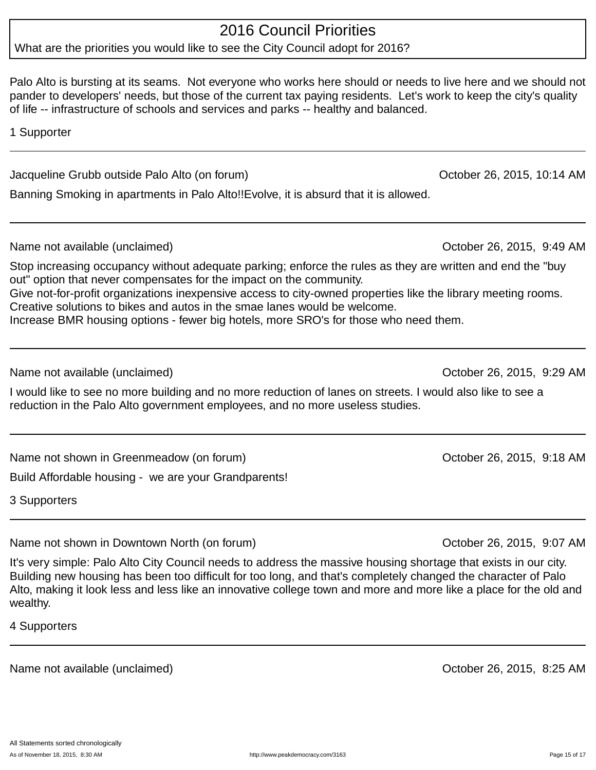#### What are the priorities you would like to see the City Council adopt for 2016?

Palo Alto is bursting at its seams. Not everyone who works here should or needs to live here and we should not pander to developers' needs, but those of the current tax paying residents. Let's work to keep the city's quality of life -- infrastructure of schools and services and parks -- healthy and balanced.

1 Supporter

Jacqueline Grubb outside Palo Alto (on forum) Mathematic Controller Controller 26, 2015, 10:14 AM

Banning Smoking in apartments in Palo Alto!!Evolve, it is absurd that it is allowed.

Name not available (unclaimed) Name not available (unclaimed) Costober 26, 2015, 9:49 AM

Stop increasing occupancy without adequate parking; enforce the rules as they are written and end the "buy out" option that never compensates for the impact on the community.

Give not-for-profit organizations inexpensive access to city-owned properties like the library meeting rooms. Creative solutions to bikes and autos in the smae lanes would be welcome.

Increase BMR housing options - fewer big hotels, more SRO's for those who need them.

Name not available (unclaimed) Name not available (unclaimed) Compared Compared Compared Compared Compared Compared Compared Compared Compared Compared Compared Compared Compared Compared Compared Compared Compared Compare

I would like to see no more building and no more reduction of lanes on streets. I would also like to see a reduction in the Palo Alto government employees, and no more useless studies.

Name not shown in Greenmeadow (on forum) Name 10 Colober 26, 2015, 9:18 AM

Build Affordable housing - we are your Grandparents!

3 Supporters

Name not shown in Downtown North (on forum) Name 1988 Corober 26, 2015, 9:07 AM

It's very simple: Palo Alto City Council needs to address the massive housing shortage that exists in our city. Building new housing has been too difficult for too long, and that's completely changed the character of Palo Alto, making it look less and less like an innovative college town and more and more like a place for the old and wealthy.

4 Supporters

Name not available (unclaimed) Name not available (unclaimed) And the Control of the Control of the Control of Control of the Control of the Control of Control of the Control of the Control of the Control of the Control of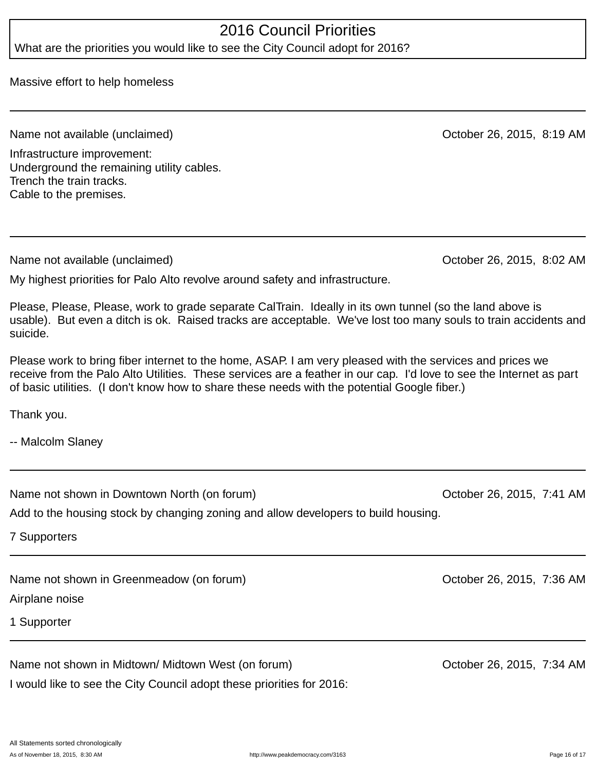What are the priorities you would like to see the City Council adopt for 2016?

Massive effort to help homeless

Name not available (unclaimed) Name not available (unclaimed) Costoler 26, 2015, 8:19 AM

Infrastructure improvement: Underground the remaining utility cables. Trench the train tracks. Cable to the premises.

Name not available (unclaimed) Name not available (unclaimed) Compared Compared Compared Compared Compared Compared Compared Compared Compared Compared Compared Compared Compared Compared Compared Compared Compared Compare

My highest priorities for Palo Alto revolve around safety and infrastructure.

Please, Please, Please, work to grade separate CalTrain. Ideally in its own tunnel (so the land above is usable). But even a ditch is ok. Raised tracks are acceptable. We've lost too many souls to train accidents and suicide.

Please work to bring fiber internet to the home, ASAP. I am very pleased with the services and prices we receive from the Palo Alto Utilities. These services are a feather in our cap. I'd love to see the Internet as part of basic utilities. (I don't know how to share these needs with the potential Google fiber.)

Thank you.

-- Malcolm Slaney

Name not shown in Downtown North (on forum) Name 1988 Corober 26, 2015, 7:41 AM

Add to the housing stock by changing zoning and allow developers to build housing.

7 Supporters

Name not shown in Greenmeadow (on forum) Name of Corober 26, 2015, 7:36 AM Airplane noise

1 Supporter

Name not shown in Midtown/ Midtown West (on forum) Name Notober 26, 2015, 7:34 AM I would like to see the City Council adopt these priorities for 2016: